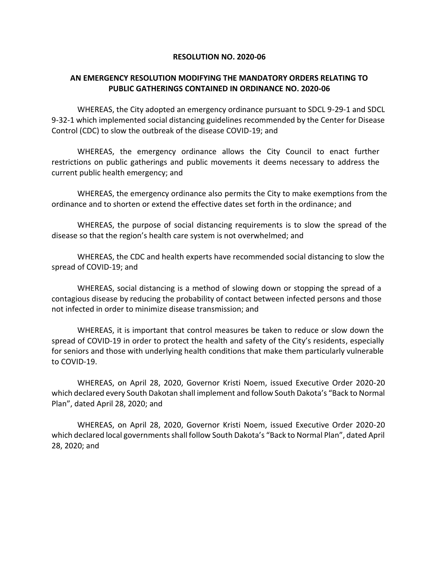## **RESOLUTION NO. 2020-06**

## **AN EMERGENCY RESOLUTION MODIFYING THE MANDATORY ORDERS RELATING TO PUBLIC GATHERINGS CONTAINED IN ORDINANCE NO. 2020-06**

WHEREAS, the City adopted an emergency ordinance pursuant to SDCL 9-29-1 and SDCL 9-32-1 which implemented social distancing guidelines recommended by the Center for Disease Control (CDC) to slow the outbreak of the disease COVID-19; and

WHEREAS, the emergency ordinance allows the City Council to enact further restrictions on public gatherings and public movements it deems necessary to address the current public health emergency; and

WHEREAS, the emergency ordinance also permits the City to make exemptions from the ordinance and to shorten or extend the effective dates set forth in the ordinance; and

WHEREAS, the purpose of social distancing requirements is to slow the spread of the disease so that the region's health care system is not overwhelmed; and

WHEREAS, the CDC and health experts have recommended social distancing to slow the spread of COVID-19; and

WHEREAS, social distancing is a method of slowing down or stopping the spread of a contagious disease by reducing the probability of contact between infected persons and those not infected in order to minimize disease transmission; and

WHEREAS, it is important that control measures be taken to reduce or slow down the spread of COVID-19 in order to protect the health and safety of the City's residents, especially for seniors and those with underlying health conditions that make them particularly vulnerable to COVID-19.

WHEREAS, on April 28, 2020, Governor Kristi Noem, issued Executive Order 2020-20 which declared every South Dakotan shall implement and follow South Dakota's "Back to Normal Plan", dated April 28, 2020; and

WHEREAS, on April 28, 2020, Governor Kristi Noem, issued Executive Order 2020-20 which declared local governments shall follow South Dakota's "Back to Normal Plan", dated April 28, 2020; and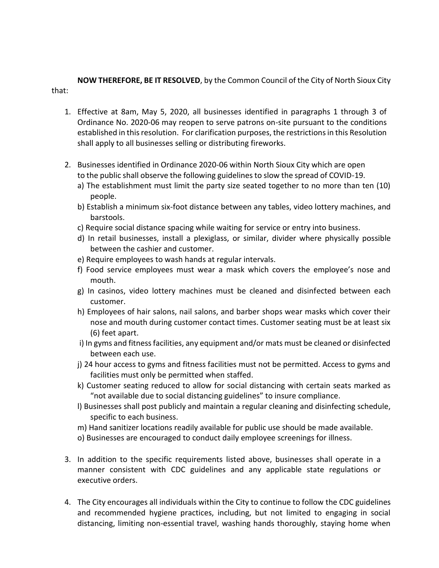**NOW THEREFORE, BE IT RESOLVED**, by the Common Council of the City of North Sioux City that:

- 1. Effective at 8am, May 5, 2020, all businesses identified in paragraphs 1 through 3 of Ordinance No. 2020-06 may reopen to serve patrons on-site pursuant to the conditions established in this resolution. For clarification purposes, the restrictions in this Resolution shall apply to all businesses selling or distributing fireworks.
- 2. Businesses identified in Ordinance 2020-06 within North Sioux City which are open to the public shall observe the following guidelines to slow the spread of COVID-19.
	- a) The establishment must limit the party size seated together to no more than ten (10) people.
	- b) Establish a minimum six-foot distance between any tables, video lottery machines, and barstools.
	- c) Require social distance spacing while waiting for service or entry into business.
	- d) In retail businesses, install a plexiglass, or similar, divider where physically possible between the cashier and customer.
	- e) Require employees to wash hands at regular intervals.
	- f) Food service employees must wear a mask which covers the employee's nose and mouth.
	- g) In casinos, video lottery machines must be cleaned and disinfected between each customer.
	- h) Employees of hair salons, nail salons, and barber shops wear masks which cover their nose and mouth during customer contact times. Customer seating must be at least six (6) feet apart.
	- i) In gyms and fitness facilities, any equipment and/or mats must be cleaned or disinfected between each use.
	- j) 24 hour access to gyms and fitness facilities must not be permitted. Access to gyms and facilities must only be permitted when staffed.
	- k) Customer seating reduced to allow for social distancing with certain seats marked as "not available due to social distancing guidelines" to insure compliance.
	- l) Businesses shall post publicly and maintain a regular cleaning and disinfecting schedule, specific to each business.
	- m) Hand sanitizer locations readily available for public use should be made available.
	- o) Businesses are encouraged to conduct daily employee screenings for illness.
- 3. In addition to the specific requirements listed above, businesses shall operate in a manner consistent with CDC guidelines and any applicable state regulations or executive orders.
- 4. The City encourages all individuals within the City to continue to follow the CDC guidelines and recommended hygiene practices, including, but not limited to engaging in social distancing, limiting non-essential travel, washing hands thoroughly, staying home when